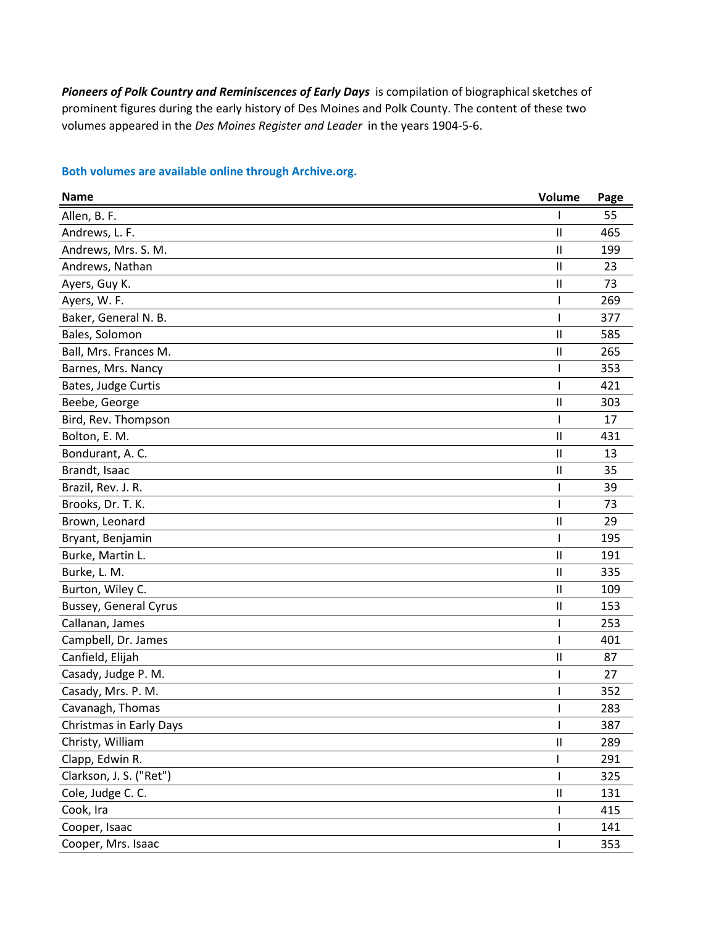*Pioneers of Polk Country and Reminiscences of Early Days* is compilation of biographical sketches of prominent figures during the early history of Des Moines and Polk County. The content of these two volumes appeared in the *Des Moines Register and Leader* in the years 1904-5-6.

| <b>Name</b>                    | Volume        | Page |
|--------------------------------|---------------|------|
| Allen, B. F.                   |               | 55   |
| Andrews, L. F.                 | Ш             | 465  |
| Andrews, Mrs. S. M.            | Ш             | 199  |
| Andrews, Nathan                | Ш             | 23   |
| Ayers, Guy K.                  | Ш             | 73   |
| Ayers, W. F.                   |               | 269  |
| Baker, General N. B.           |               | 377  |
| Bales, Solomon                 | Ш             | 585  |
| Ball, Mrs. Frances M.          | Ш             | 265  |
| Barnes, Mrs. Nancy             |               | 353  |
| Bates, Judge Curtis            |               | 421  |
| Beebe, George                  | Ш             | 303  |
| Bird, Rev. Thompson            |               | 17   |
| Bolton, E. M.                  | Ш             | 431  |
| Bondurant, A.C.                | Ш             | 13   |
| Brandt, Isaac                  | Ш             | 35   |
| Brazil, Rev. J. R.             |               | 39   |
| Brooks, Dr. T. K.              |               | 73   |
| Brown, Leonard                 | Ш             | 29   |
| Bryant, Benjamin               |               | 195  |
| Burke, Martin L.               | Ш             | 191  |
| Burke, L. M.                   | Ш             | 335  |
| Burton, Wiley C.               | Ш             | 109  |
| <b>Bussey, General Cyrus</b>   | Ш             | 153  |
| Callanan, James                |               | 253  |
| Campbell, Dr. James            |               | 401  |
| Canfield, Elijah               | Ш             | 87   |
| Casady, Judge P. M.            |               | 27   |
| Casady, Mrs. P. M.             |               | 352  |
| Cavanagh, Thomas               |               | 283  |
| <b>Christmas in Early Days</b> |               | 387  |
| Christy, William               | Ш             | 289  |
| Clapp, Edwin R.                |               | 291  |
| Clarkson, J. S. ("Ret")        |               | 325  |
| Cole, Judge C. C.              | $\mathsf{II}$ | 131  |
| Cook, Ira                      |               | 415  |
| Cooper, Isaac                  |               | 141  |
| Cooper, Mrs. Isaac             |               | 353  |

## **Both volumes are available online through Archive.org.**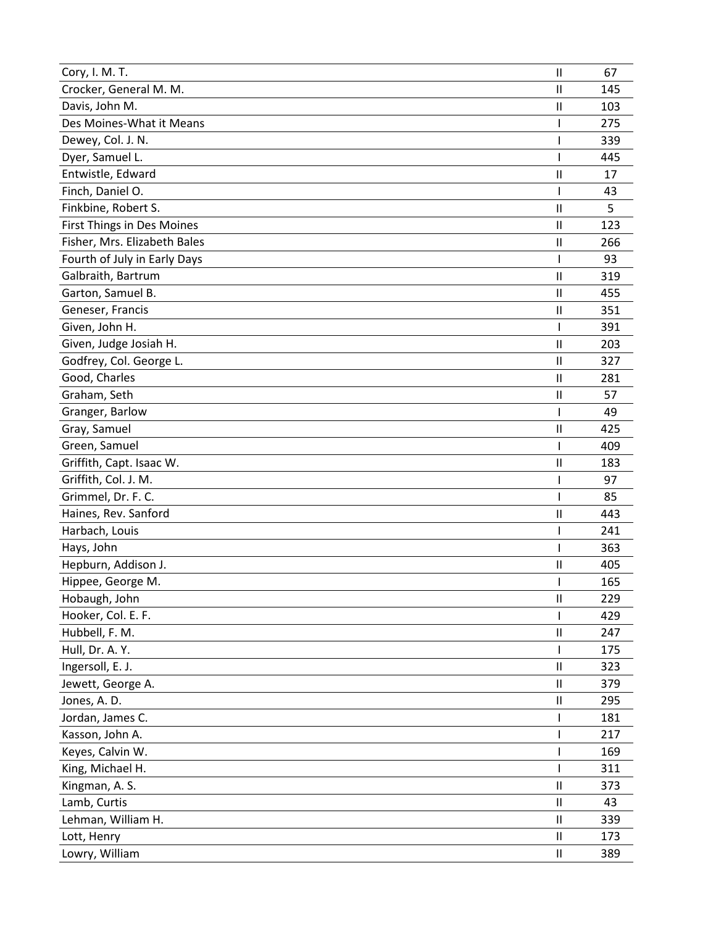| Cory, I. M. T.                    | $\mathsf{I}$           | 67  |
|-----------------------------------|------------------------|-----|
| Crocker, General M. M.            | $\mathsf{I}$           | 145 |
| Davis, John M.                    | $\mathsf{I}$           | 103 |
| Des Moines-What it Means          |                        | 275 |
| Dewey, Col. J. N.                 |                        | 339 |
| Dyer, Samuel L.                   |                        | 445 |
| Entwistle, Edward                 | $\mathsf{I}$           | 17  |
| Finch, Daniel O.                  |                        | 43  |
| Finkbine, Robert S.               | $\mathbf{I}$           | 5   |
| <b>First Things in Des Moines</b> | $\mathbf{I}$           | 123 |
| Fisher, Mrs. Elizabeth Bales      | $\mathsf{I}$           | 266 |
| Fourth of July in Early Days      |                        | 93  |
| Galbraith, Bartrum                | $\mathsf{I}$           | 319 |
| Garton, Samuel B.                 | $\mathbf{I}$           | 455 |
| Geneser, Francis                  | $\mathsf{I}$           | 351 |
| Given, John H.                    |                        | 391 |
| Given, Judge Josiah H.            | $\mathbf{I}$           | 203 |
| Godfrey, Col. George L.           | $\mathsf{I}\mathsf{I}$ | 327 |
| Good, Charles                     | $\mathsf{I}$           | 281 |
| Graham, Seth                      | $\mathbf{I}$           | 57  |
| Granger, Barlow                   |                        | 49  |
| Gray, Samuel                      | $\mathsf{I}$           | 425 |
| Green, Samuel                     |                        | 409 |
| Griffith, Capt. Isaac W.          | $\mathsf{I}$           | 183 |
| Griffith, Col. J. M.              |                        | 97  |
| Grimmel, Dr. F. C.                |                        | 85  |
| Haines, Rev. Sanford              | $\mathsf{I}$           | 443 |
| Harbach, Louis                    |                        | 241 |
| Hays, John                        |                        | 363 |
| Hepburn, Addison J.               | $\mathsf{I}\mathsf{I}$ | 405 |
| Hippee, George M.                 |                        | 165 |
| Hobaugh, John                     | $\mathsf{I}\mathsf{I}$ | 229 |
| Hooker, Col. E. F.                |                        | 429 |
| Hubbell, F. M.                    | $\mathsf{II}$          | 247 |
| Hull, Dr. A. Y.                   |                        | 175 |
| Ingersoll, E. J.                  | $\mathsf{II}$          | 323 |
| Jewett, George A.                 | Ш                      | 379 |
| Jones, A. D.                      | Ш                      | 295 |
| Jordan, James C.                  |                        | 181 |
| Kasson, John A.                   |                        | 217 |
| Keyes, Calvin W.                  |                        | 169 |
| King, Michael H.                  |                        | 311 |
| Kingman, A. S.                    | $\mathsf{I}\mathsf{I}$ | 373 |
| Lamb, Curtis                      | Ш                      | 43  |
| Lehman, William H.                | Ш                      | 339 |
| Lott, Henry                       | $\mathsf{II}$          | 173 |
| Lowry, William                    | Ш                      | 389 |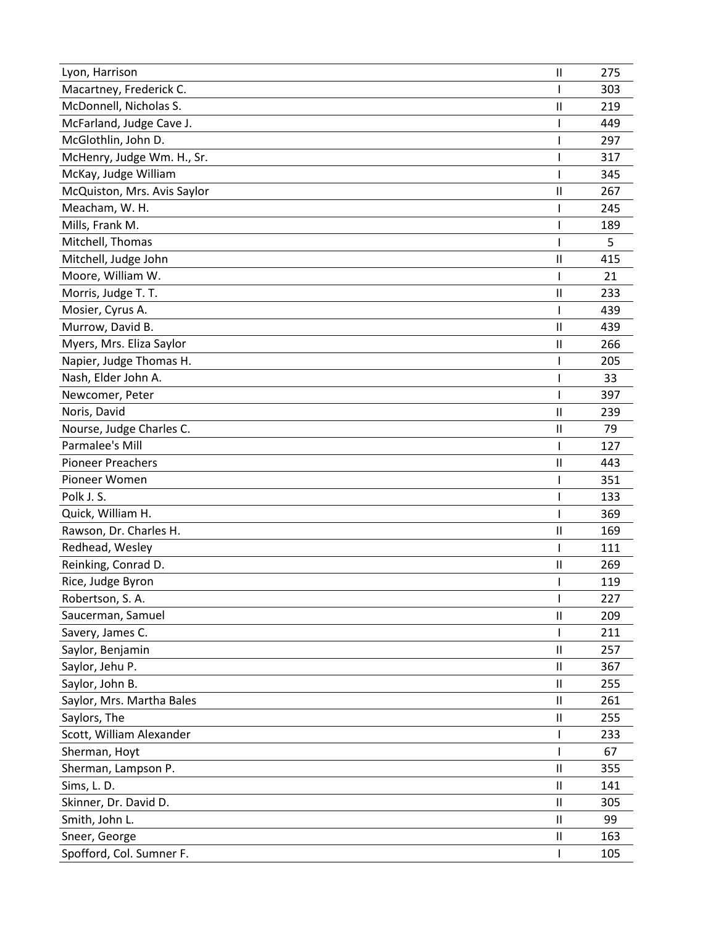| Lyon, Harrison              | $\mathsf{I}$           | 275 |
|-----------------------------|------------------------|-----|
| Macartney, Frederick C.     |                        | 303 |
| McDonnell, Nicholas S.      | $\mathbf{I}$           | 219 |
| McFarland, Judge Cave J.    |                        | 449 |
| McGlothlin, John D.         |                        | 297 |
| McHenry, Judge Wm. H., Sr.  |                        | 317 |
| McKay, Judge William        |                        | 345 |
| McQuiston, Mrs. Avis Saylor | $\mathsf{I}$           | 267 |
| Meacham, W. H.              |                        | 245 |
| Mills, Frank M.             |                        | 189 |
| Mitchell, Thomas            |                        | 5   |
| Mitchell, Judge John        | $\mathsf{I}$           | 415 |
| Moore, William W.           | I                      | 21  |
| Morris, Judge T. T.         | $\mathsf{I}\mathsf{I}$ | 233 |
| Mosier, Cyrus A.            |                        | 439 |
| Murrow, David B.            | $\mathbf{I}$           | 439 |
| Myers, Mrs. Eliza Saylor    | $\mathsf{I}$           | 266 |
| Napier, Judge Thomas H.     |                        | 205 |
| Nash, Elder John A.         |                        | 33  |
| Newcomer, Peter             |                        | 397 |
| Noris, David                | $\mathsf{I}$           | 239 |
| Nourse, Judge Charles C.    | $\mathbf{I}$           | 79  |
| Parmalee's Mill             |                        | 127 |
| <b>Pioneer Preachers</b>    | $\mathsf{I}$           | 443 |
| Pioneer Women               |                        | 351 |
| Polk J.S.                   |                        | 133 |
| Quick, William H.           |                        | 369 |
| Rawson, Dr. Charles H.      | $\mathsf{I}$           | 169 |
| Redhead, Wesley             |                        | 111 |
| Reinking, Conrad D.         | Ш                      | 269 |
| Rice, Judge Byron           |                        | 119 |
| Robertson, S.A.             | I                      | 227 |
| Saucerman, Samuel           | $\mathsf{I}\mathsf{I}$ | 209 |
| Savery, James C.            |                        | 211 |
| Saylor, Benjamin            | $\mathsf{I}\mathsf{I}$ | 257 |
| Saylor, Jehu P.             | $\mathsf{I}\mathsf{I}$ | 367 |
| Saylor, John B.             | Ш                      | 255 |
| Saylor, Mrs. Martha Bales   | Ш                      | 261 |
| Saylors, The                | Ш                      | 255 |
| Scott, William Alexander    |                        | 233 |
| Sherman, Hoyt               |                        | 67  |
| Sherman, Lampson P.         | $\mathsf{I}$           | 355 |
| Sims, L. D.                 | Ш                      | 141 |
| Skinner, Dr. David D.       | $\mathbf{I}$           | 305 |
| Smith, John L.              | $\mathsf{II}$          | 99  |
| Sneer, George               | $\mathsf{I}\mathsf{I}$ | 163 |
| Spofford, Col. Sumner F.    |                        | 105 |